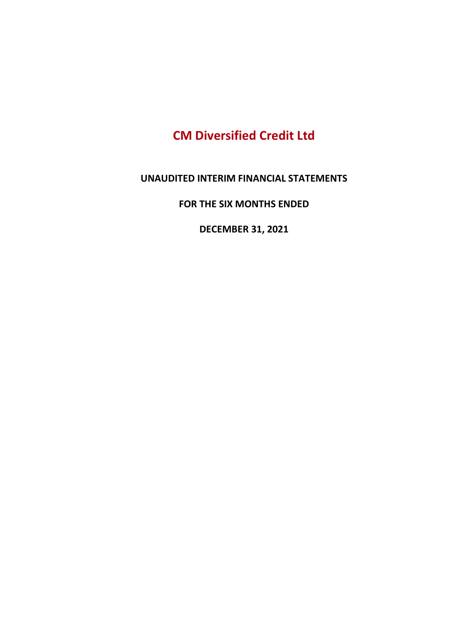# CM Diversified Credit Ltd

UNAUDITED INTERIM FINANCIAL STATEMENTS

FOR THE SIX MONTHS ENDED

DECEMBER 31, 2021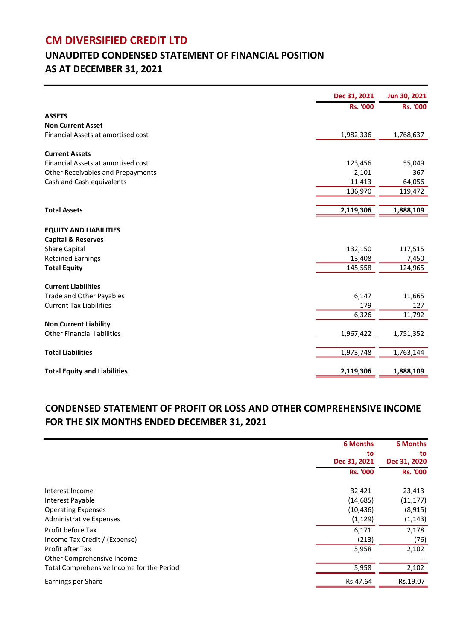### CM DIVERSIFIED CREDIT LTD

# UNAUDITED CONDENSED STATEMENT OF FINANCIAL POSITION AS AT DECEMBER 31, 2021

|                                     | Dec 31, 2021    | Jun 30, 2021    |
|-------------------------------------|-----------------|-----------------|
|                                     | <b>Rs. '000</b> | <b>Rs. '000</b> |
| <b>ASSETS</b>                       |                 |                 |
| <b>Non Current Asset</b>            |                 |                 |
| Financial Assets at amortised cost  | 1,982,336       | 1,768,637       |
| <b>Current Assets</b>               |                 |                 |
| Financial Assets at amortised cost  | 123,456         | 55,049          |
| Other Receivables and Prepayments   | 2,101           | 367             |
| Cash and Cash equivalents           | 11,413          | 64,056          |
|                                     | 136,970         | 119,472         |
|                                     |                 |                 |
| <b>Total Assets</b>                 | 2,119,306       | 1,888,109       |
|                                     |                 |                 |
| <b>EQUITY AND LIABILITIES</b>       |                 |                 |
| <b>Capital &amp; Reserves</b>       |                 |                 |
| Share Capital                       | 132,150         | 117,515         |
| <b>Retained Earnings</b>            | 13,408          | 7,450           |
| <b>Total Equity</b>                 | 145,558         | 124,965         |
| <b>Current Liabilities</b>          |                 |                 |
| <b>Trade and Other Payables</b>     | 6,147           | 11,665          |
| <b>Current Tax Liabilities</b>      | 179             | 127             |
|                                     | 6,326           | 11,792          |
| <b>Non Current Liability</b>        |                 |                 |
| <b>Other Financial liabilities</b>  | 1,967,422       | 1,751,352       |
| <b>Total Liabilities</b>            | 1,973,748       | 1,763,144       |
|                                     |                 |                 |
| <b>Total Equity and Liabilities</b> | 2,119,306       | 1,888,109       |

### CONDENSED STATEMENT OF PROFIT OR LOSS AND OTHER COMPREHENSIVE INCOME FOR THE SIX MONTHS ENDED DECEMBER 31, 2021

|                                           | <b>6 Months</b> | <b>6 Months</b> |
|-------------------------------------------|-----------------|-----------------|
|                                           | to              | to              |
|                                           | Dec 31, 2021    | Dec 31, 2020    |
|                                           | <b>Rs. '000</b> | <b>Rs. '000</b> |
| Interest Income                           | 32,421          | 23,413          |
| Interest Payable                          | (14, 685)       | (11, 177)       |
| <b>Operating Expenses</b>                 | (10, 436)       | (8, 915)        |
| <b>Administrative Expenses</b>            | (1, 129)        | (1, 143)        |
| Profit before Tax                         | 6,171           | 2,178           |
| Income Tax Credit / (Expense)             | (213)           | (76)            |
| Profit after Tax                          | 5,958           | 2,102           |
| Other Comprehensive Income                |                 |                 |
| Total Comprehensive Income for the Period | 5,958           | 2,102           |
| Earnings per Share                        | Rs.47.64        | Rs.19.07        |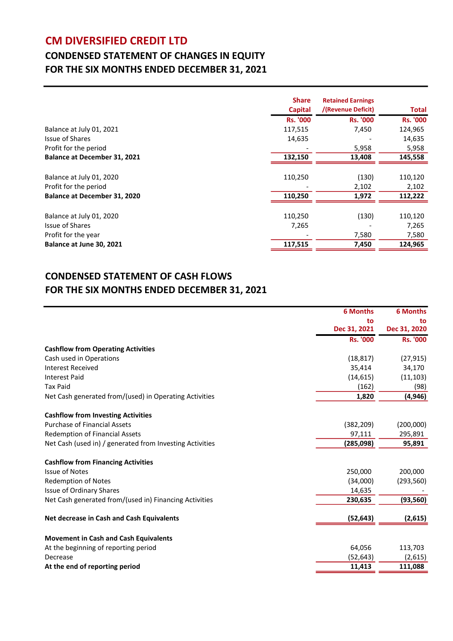### CM DIVERSIFIED CREDIT LTD

## CONDENSED STATEMENT OF CHANGES IN EQUITY FOR THE SIX MONTHS ENDED DECEMBER 31, 2021

|                                     | <b>Share</b><br><b>Capital</b> | <b>Retained Earnings</b><br>/(Revenue Deficit) | Total           |
|-------------------------------------|--------------------------------|------------------------------------------------|-----------------|
|                                     | <b>Rs. '000</b>                | <b>Rs. '000</b>                                | <b>Rs. '000</b> |
| Balance at July 01, 2021            | 117,515                        | 7,450                                          | 124,965         |
| Issue of Shares                     | 14,635                         |                                                | 14,635          |
| Profit for the period               |                                | 5,958                                          | 5,958           |
| <b>Balance at December 31, 2021</b> | 132,150                        | 13,408                                         | 145,558         |
|                                     |                                |                                                |                 |
| Balance at July 01, 2020            | 110,250                        | (130)                                          | 110,120         |
| Profit for the period               |                                | 2,102                                          | 2,102           |
| <b>Balance at December 31, 2020</b> | 110,250                        | 1,972                                          | 112,222         |
|                                     |                                |                                                |                 |
| Balance at July 01, 2020            | 110,250                        | (130)                                          | 110,120         |
| <b>Issue of Shares</b>              | 7,265                          |                                                | 7,265           |
| Profit for the year                 |                                | 7,580                                          | 7,580           |
| Balance at June 30, 2021            | 117,515                        | 7,450                                          | 124,965         |

#### CONDENSED STATEMENT OF CASH FLOWS FOR THE SIX MONTHS ENDED DECEMBER 31, 2021

|                                                          | <b>6 Months</b> | <b>6 Months</b> |
|----------------------------------------------------------|-----------------|-----------------|
|                                                          | to              | to              |
|                                                          | Dec 31, 2021    | Dec 31, 2020    |
|                                                          | <b>Rs. '000</b> | <b>Rs. '000</b> |
| <b>Cashflow from Operating Activities</b>                |                 |                 |
| Cash used in Operations                                  | (18, 817)       | (27, 915)       |
| <b>Interest Received</b>                                 | 35,414          | 34,170          |
| <b>Interest Paid</b>                                     | (14, 615)       | (11, 103)       |
| <b>Tax Paid</b>                                          | (162)           | (98)            |
| Net Cash generated from/(used) in Operating Activities   | 1,820           | (4, 946)        |
| <b>Cashflow from Investing Activities</b>                |                 |                 |
| <b>Purchase of Financial Assets</b>                      | (382, 209)      | (200,000)       |
| <b>Redemption of Financial Assets</b>                    | 97,111          | 295,891         |
| Net Cash (used in) / generated from Investing Activities | (285,098)       | 95,891          |
| <b>Cashflow from Financing Activities</b>                |                 |                 |
| <b>Issue of Notes</b>                                    | 250,000         | 200,000         |
| <b>Redemption of Notes</b>                               | (34,000)        | (293, 560)      |
| <b>Issue of Ordinary Shares</b>                          | 14,635          |                 |
| Net Cash generated from/(used in) Financing Activities   | 230,635         | (93, 560)       |
| Net decrease in Cash and Cash Equivalents                | (52, 643)       | (2,615)         |
| <b>Movement in Cash and Cash Equivalents</b>             |                 |                 |
| At the beginning of reporting period                     | 64,056          | 113,703         |
| Decrease                                                 | (52, 643)       | (2,615)         |
| At the end of reporting period                           | 11,413          | 111,088         |
|                                                          |                 |                 |